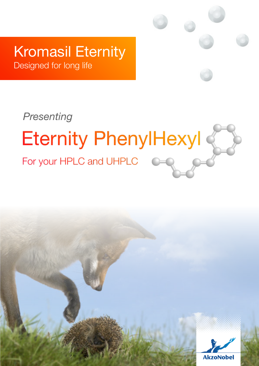# Kromasil Eternity

Designed for long life

# *Presenting***Eternity PhenylHexyl** For your HPLC and UHPLC

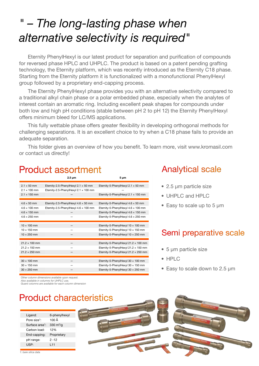# *" – The long-lasting phase when alternative selectivity is required"*

Eternity PhenylHexyl is our latest product for separation and purification of compounds for reversed phase HPLC and UHPLC. The product is based on a patent pending grafting technology, the Eternity platform, which was recently introduced as the Eternity C18 phase. Starting from the Eternity platform it is functionalized with a monofunctional PhenylHexyl group followed by a proprietary end-capping process.

The Eternity PhenylHexyl phase provides you with an alternative selectivity compared to a traditional alkyl chain phase or a polar embedded phase, especially when the analytes of interest contain an aromatic ring. Including excellent peak shapes for compounds under both low and high pH conditions (stable between pH 2 to pH 12) the Eternity PhenylHexyl offers minimum bleed for LC/MS applications.

This fully wettable phase offers greater flexibility in developing orthogonal methods for challenging separations. It is an excellent choice to try when a C18 phase fails to provide an adequate separation.

This folder gives an overview of how you benefit. To learn more, visit www.kromasil.com or contact us directly!

### **Product assortment**

|                      | $2.5 \mu m$                                 | $5 \mu m$                                   |
|----------------------|---------------------------------------------|---------------------------------------------|
| $2.1 \times 50$ mm   | Eternity-2.5-PhenylHexyl 2.1 $\times$ 50 mm | Eternity-5-PhenylHexyl 2.1 x 50 mm          |
| $2.1 \times 100$ mm  | Eternity-2.5-PhenylHexyl 2.1 x 100 mm       |                                             |
| $2.1 \times 150$ mm  |                                             | Eternity-5-PhenylHexyl 2.1 x 150 mm         |
|                      |                                             |                                             |
| $4.6 \times 50$ mm   | Eternity-2.5-PhenylHexyl $4.6 \times 50$ mm | Eternity-5-PhenylHexyl $4.6 \times 50$ mm   |
| $4.6 \times 100$ mm  | Eternity-2.5-PhenylHexyl 4.6 x 100 mm       | Eternity-5-PhenylHexyl $4.6 \times 100$ mm  |
| $4.6 \times 150$ mm  |                                             | Eternity-5-PhenylHexyl $4.6 \times 150$ mm  |
| $4.6 \times 250$ mm  |                                             | Eternity-5-PhenylHexyl 4.6 x 250 mm         |
|                      |                                             |                                             |
| $10 \times 100$ mm   |                                             | Eternity-5-PhenylHexyl $10 \times 100$ mm   |
| $10 \times 150$ mm   |                                             | Eternity-5-PhenylHexyl 10 x 150 mm          |
| $10 \times 250$ mm   |                                             | Eternity-5-PhenylHexyl 10 x 250 mm          |
|                      |                                             |                                             |
| $21.2 \times 100$ mm |                                             | Eternity-5-PhenylHexyl $21.2 \times 100$ mm |
| $21.2 \times 150$ mm |                                             | Eternity-5-PhenylHexyl 21.2 x 150 mm        |
| $21.2 \times 250$ mm |                                             | Eternity-5-PhenylHexyl 21.2 x 250 mm        |
|                      |                                             |                                             |
| $30 \times 100$ mm   |                                             | Eternity-5-PhenylHexyl $30 \times 100$ mm   |
| $30 \times 150$ mm   |                                             | Eternity-5-PhenylHexyl $30 \times 150$ mm   |
| $30 \times 250$ mm   |                                             | Eternity-5-PhenylHexyl 30 x 250 mm          |

# **Analytical scale**

- 2.5 µm particle size
- UHPLC and HPLC
- Easy to scale up to 5 µm

### Semi preparative scale

- 5 µm particle size
- HPLC
- Easy to scale down to 2.5 µm

*Other column dimensions available upon request. Also available in columns for UHPLC use.*

*Guard columns are available for each column dimension*



*1: bare silica data*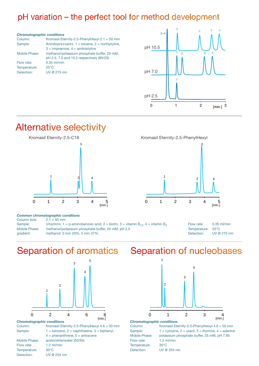### pH variation - the perfect tool for method development

#### *Chromatographic conditions*

| Kromasil Eternity-2.5-PhenylHexyl $2.1 \times 50$ mm |
|------------------------------------------------------|
| Antidepressants: $1 =$ toluene, $2 =$ nortriptyline, |
| $3 =$ imipramine, $4 =$ amitriptyline                |
| methanol/potassium phosphate buffer, 20 mM,          |
| pH 2.5, 7.0 and 10.5 respectively (80/20)            |
| $0.35$ ml/min                                        |
| $25^{\circ}$ C                                       |
| UV @ 215 nm                                          |
|                                                      |



## **Alternative selectivity**



#### *Common chromatographic conditions*

| Column size:  | $2.1 \times 50$ mm                                                                        |                   |               |
|---------------|-------------------------------------------------------------------------------------------|-------------------|---------------|
| Sample:       | Vitamins: 1 = p-aminobenzoic acid, 2 = biotin, 3 = vitamin $B_{12}$ , 4 = vitamin $B_{2}$ | Flow rate:        | $0.35$ ml/min |
| Mobile Phase: | methanol/potassium phosphate buffer, 20 mM, pH 2.5                                        | Temperature: 25°C |               |
| gradient:     | methanol: 0 min 20%, 5 min 37%.                                                           | Detection:        | UV @ 210 nm   |



 $\mathfrak{p}$ 

3

4

### **Separation of aromatics**



#### *Chromatographic conditions*

Column: Kromasil Eternity-2.5-PhenylHexyl  $4.6 \times 50$  mm Sample:  $1 = \text{benzene}, 2 = \text{naphthalene}, 3 = \text{bipheny},$  $4 =$  phenanthrene,  $5 =$  antracene Mobile Phase: acetonitrile/water (50/50) Flow rate: 1.2 ml/min Temperature: 30°C Detection: UV @ 254 nm

### Separation of nucleobases

1



#### *Chromatographic conditions*

Flow rate: 1.2 ml/min Temperature: 30°C Detection: UV @ 254 nm

Column: Kromasil Eternity-2.5-PhenylHexyl  $4.6 \times 50$  mm Sample:  $1 = \text{cytosine}, 2 = \text{uracil}, 3 = \text{thymine}, 4 = \text{adenine}$ Mobile Phase: potassium phosphate buffer, 25 mM, pH 7.85